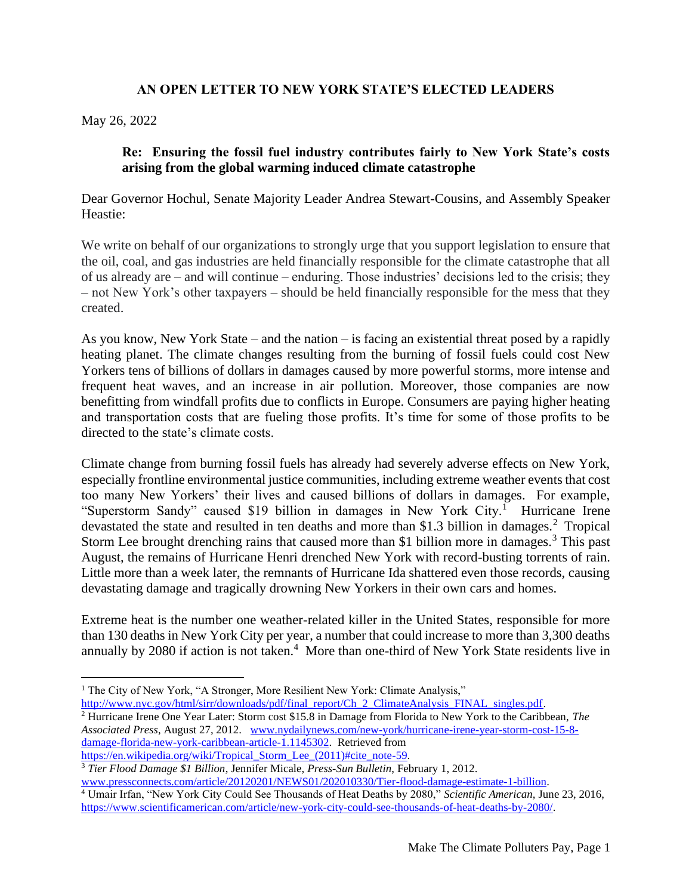## **AN OPEN LETTER TO NEW YORK STATE'S ELECTED LEADERS**

May 26, 2022

## **Re: Ensuring the fossil fuel industry contributes fairly to New York State's costs arising from the global warming induced climate catastrophe**

Dear Governor Hochul, Senate Majority Leader Andrea Stewart-Cousins, and Assembly Speaker Heastie:

We write on behalf of our organizations to strongly urge that you support legislation to ensure that the oil, coal, and gas industries are held financially responsible for the climate catastrophe that all of us already are – and will continue – enduring. Those industries' decisions led to the crisis; they – not New York's other taxpayers – should be held financially responsible for the mess that they created.

As you know, New York State – and the nation – is facing an existential threat posed by a rapidly heating planet. The climate changes resulting from the burning of fossil fuels could cost New Yorkers tens of billions of dollars in damages caused by more powerful storms, more intense and frequent heat waves, and an increase in air pollution. Moreover, those companies are now benefitting from windfall profits due to conflicts in Europe. Consumers are paying higher heating and transportation costs that are fueling those profits. It's time for some of those profits to be directed to the state's climate costs.

Climate change from burning fossil fuels has already had severely adverse effects on New York, especially frontline environmental justice communities, including extreme weather events that cost too many New Yorkers' their lives and caused billions of dollars in damages. For example, "Superstorm Sandy" caused \$19 billion in damages in New York City.<sup>1</sup> Hurricane Irene devastated the state and resulted in ten deaths and more than \$1.3 billion in damages.<sup>2</sup> Tropical Storm Lee brought drenching rains that caused more than \$1 billion more in damages.<sup>3</sup> This past August, the remains of Hurricane Henri drenched New York with record-busting torrents of rain. Little more than a week later, the remnants of Hurricane Ida shattered even those records, causing devastating damage and tragically drowning New Yorkers in their own cars and homes.

Extreme heat is the number one weather-related killer in the United States, responsible for more than 130 deaths in New York City per year, a number that could increase to more than 3,300 deaths annually by 2080 if action is not taken.<sup>4</sup> More than one-third of New York State residents live in

http://www.nyc.gov/html/sirr/downloads/pdf/final\_report/Ch\_2\_ClimateAnalysis\_FINAL\_singles.pdf.

<sup>&</sup>lt;sup>1</sup> The City of New York, "A Stronger, More Resilient New York: Climate Analysis,"

<sup>2</sup> Hurricane Irene One Year Later: Storm cost \$15.8 in Damage from Florida to New York to the Caribbean, *The Associated Press*, August 27, 2012. www.nydailynews.com/new-york/hurricane-irene-year-storm-cost-15-8 damage-florida-new-york-caribbean-article-1.1145302.Retrieved from https://en.wikipedia.org/wiki/Tropical Storm Lee (2011)#cite note-59.

<sup>3</sup> *Tier Flood Damage \$1 Billion*, Jennifer Micale, *Press-Sun Bulletin*, February 1, 2012.

www.pressconnects.com/article/20120201/NEWS01/202010330/Tier-flood-damage-estimate-1-billion. <sup>4</sup> Umair Irfan, "New York City Could See Thousands of Heat Deaths by 2080," *Scientific American,* June 23, 2016, https://www.scientificamerican.com/article/new-york-city-could-see-thousands-of-heat-deaths-by-2080/.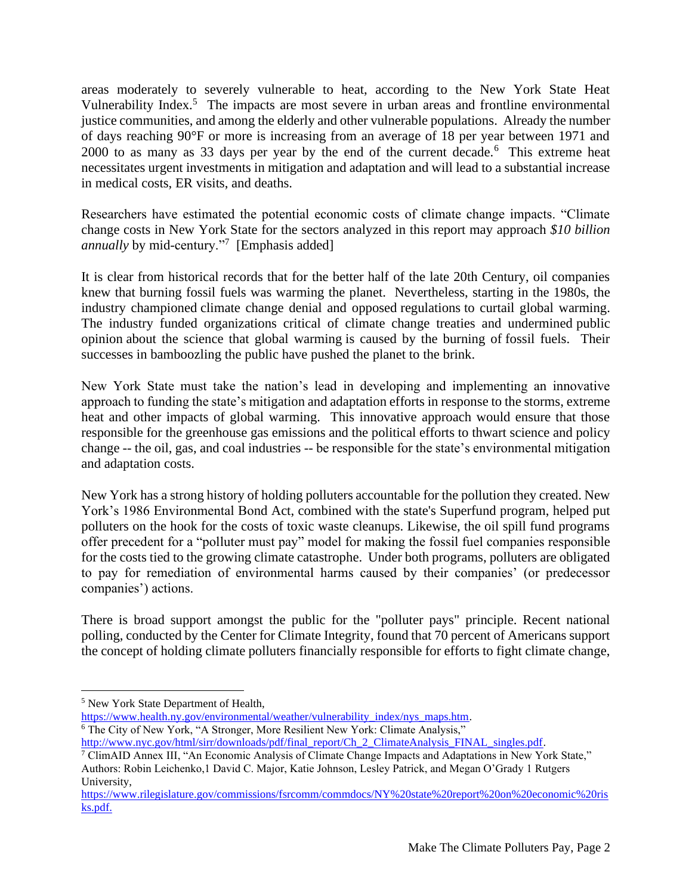areas moderately to severely vulnerable to heat, according to the New York State Heat Vulnerability Index.<sup>5</sup> The impacts are most severe in urban areas and frontline environmental justice communities, and among the elderly and other vulnerable populations. Already the number of days reaching 90°F or more is increasing from an average of 18 per year between 1971 and 2000 to as many as 33 days per year by the end of the current decade.<sup>6</sup> This extreme heat necessitates urgent investments in mitigation and adaptation and will lead to a substantial increase in medical costs, ER visits, and deaths.

Researchers have estimated the potential economic costs of climate change impacts. "Climate change costs in New York State for the sectors analyzed in this report may approach *\$10 billion annually* by mid-century."<sup>7</sup> [Emphasis added]

It is clear from historical records that for the better half of the late 20th Century, oil companies knew that burning fossil fuels was warming the planet. Nevertheless, starting in the 1980s, the industry championed climate change denial and opposed regulations to curtail global warming. The industry funded organizations critical of climate change treaties and undermined public opinion about the science that global warming is caused by the burning of fossil fuels. Their successes in bamboozling the public have pushed the planet to the brink.

New York State must take the nation's lead in developing and implementing an innovative approach to funding the state's mitigation and adaptation efforts in response to the storms, extreme heat and other impacts of global warming. This innovative approach would ensure that those responsible for the greenhouse gas emissions and the political efforts to thwart science and policy change -- the oil, gas, and coal industries -- be responsible for the state's environmental mitigation and adaptation costs.

New York has a strong history of holding polluters accountable for the pollution they created. New York's 1986 Environmental Bond Act, combined with the state's Superfund program, helped put polluters on the hook for the costs of toxic waste cleanups. Likewise, the oil spill fund programs offer precedent for a "polluter must pay" model for making the fossil fuel companies responsible for the costs tied to the growing climate catastrophe. Under both programs, polluters are obligated to pay for remediation of environmental harms caused by their companies' (or predecessor companies') actions.

There is broad support amongst the public for the "polluter pays" principle. Recent national polling, conducted by the Center for Climate Integrity, found that 70 percent of Americans support the concept of holding climate polluters financially responsible for efforts to fight climate change,

https://www.health.ny.gov/environmental/weather/vulnerability\_index/nys\_maps.htm. <sup>6</sup> The City of New York, "A Stronger, More Resilient New York: Climate Analysis,"

<sup>5</sup> New York State Department of Health,

http://www.nyc.gov/html/sirr/downloads/pdf/final\_report/Ch\_2\_ClimateAnalysis\_FINAL\_singles.pdf.

<sup>7</sup> ClimAID Annex III, "An Economic Analysis of Climate Change Impacts and Adaptations in New York State," Authors: Robin Leichenko,1 David C. Major, Katie Johnson, Lesley Patrick, and Megan O'Grady 1 Rutgers University,

https://www.rilegislature.gov/commissions/fsrcomm/commdocs/NY%20state%20report%20on%20economic%20ris ks.pdf.